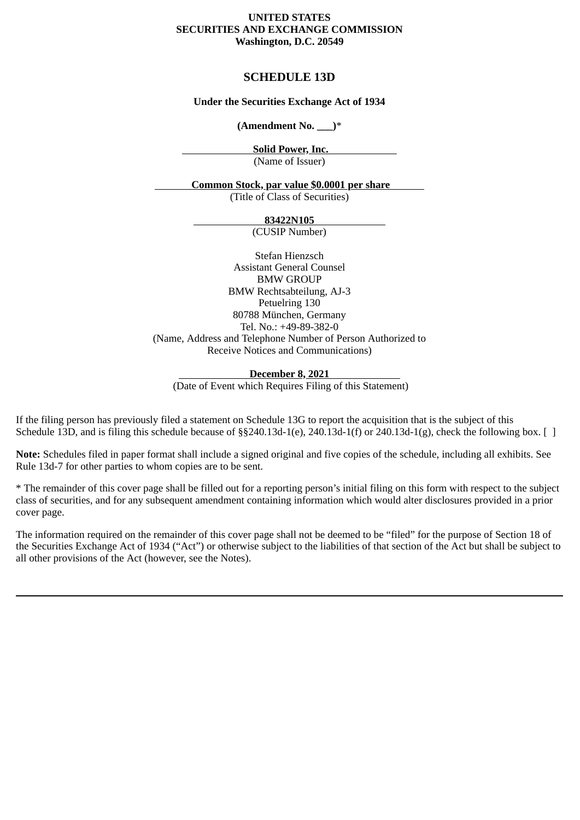#### **UNITED STATES SECURITIES AND EXCHANGE COMMISSION Washington, D.C. 20549**

## **SCHEDULE 13D**

## **Under the Securities Exchange Act of 1934**

**(Amendment No. \_\_\_)**\*

 **Solid Power, Inc.** 

(Name of Issuer)

## **Common Stock, par value \$0.0001 per share**

(Title of Class of Securities)

#### **83422N105**

(CUSIP Number)

Stefan Hienzsch Assistant General Counsel BMW GROUP BMW Rechtsabteilung, AJ-3 Petuelring 130 80788 München, Germany Tel. No.: +49-89-382-0 (Name, Address and Telephone Number of Person Authorized to Receive Notices and Communications)

#### **December 8, 2021**

(Date of Event which Requires Filing of this Statement)

If the filing person has previously filed a statement on Schedule 13G to report the acquisition that is the subject of this Schedule 13D, and is filing this schedule because of §§240.13d-1(e), 240.13d-1(f) or 240.13d-1(g), check the following box. [ ]

**Note:** Schedules filed in paper format shall include a signed original and five copies of the schedule, including all exhibits. See Rule 13d-7 for other parties to whom copies are to be sent.

\* The remainder of this cover page shall be filled out for a reporting person's initial filing on this form with respect to the subject class of securities, and for any subsequent amendment containing information which would alter disclosures provided in a prior cover page.

The information required on the remainder of this cover page shall not be deemed to be "filed" for the purpose of Section 18 of the Securities Exchange Act of 1934 ("Act") or otherwise subject to the liabilities of that section of the Act but shall be subject to all other provisions of the Act (however, see the Notes).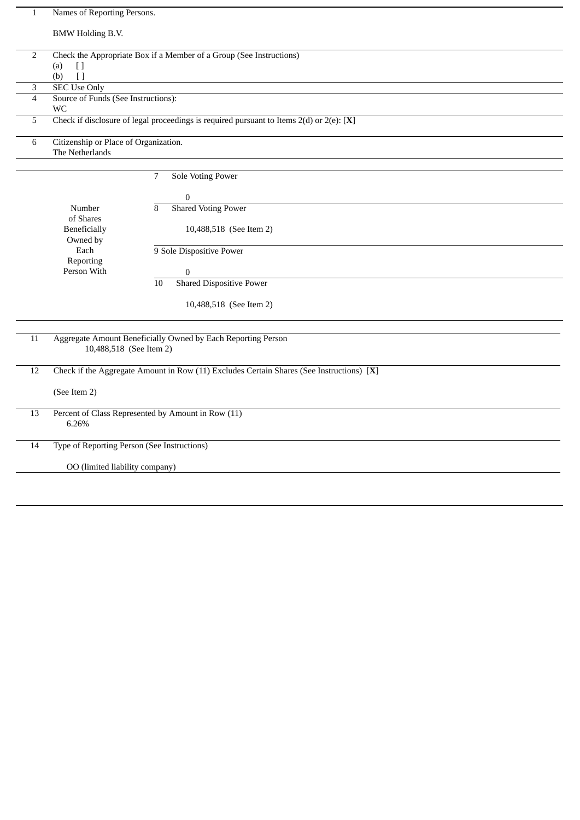| $\mathbf{1}$            |                                                                                                |                                                                                               |  |
|-------------------------|------------------------------------------------------------------------------------------------|-----------------------------------------------------------------------------------------------|--|
|                         | Names of Reporting Persons.                                                                    |                                                                                               |  |
|                         | <b>BMW Holding B.V.</b>                                                                        |                                                                                               |  |
|                         |                                                                                                |                                                                                               |  |
| $\sqrt{2}$              | Check the Appropriate Box if a Member of a Group (See Instructions)                            |                                                                                               |  |
|                         | $\Box$<br>(a)                                                                                  |                                                                                               |  |
| 3                       | (b)<br>$\lceil$<br><b>SEC Use Only</b>                                                         |                                                                                               |  |
| $\overline{4}$          | Source of Funds (See Instructions):                                                            |                                                                                               |  |
|                         | WC                                                                                             |                                                                                               |  |
| 5                       |                                                                                                | Check if disclosure of legal proceedings is required pursuant to Items $2(d)$ or $2(e)$ : [X] |  |
|                         |                                                                                                |                                                                                               |  |
| 6                       | Citizenship or Place of Organization.                                                          |                                                                                               |  |
|                         | The Netherlands                                                                                |                                                                                               |  |
|                         |                                                                                                | 7<br>Sole Voting Power                                                                        |  |
|                         |                                                                                                |                                                                                               |  |
|                         |                                                                                                | $\boldsymbol{0}$                                                                              |  |
|                         | Number                                                                                         | 8<br><b>Shared Voting Power</b>                                                               |  |
|                         | of Shares                                                                                      |                                                                                               |  |
|                         | Beneficially<br>Owned by                                                                       | 10,488,518 (See Item 2)                                                                       |  |
|                         | Each                                                                                           | 9 Sole Dispositive Power                                                                      |  |
|                         | Reporting                                                                                      |                                                                                               |  |
|                         | Person With                                                                                    | 0                                                                                             |  |
|                         |                                                                                                | <b>Shared Dispositive Power</b><br>10                                                         |  |
|                         |                                                                                                |                                                                                               |  |
|                         |                                                                                                | 10,488,518 (See Item 2)                                                                       |  |
|                         |                                                                                                |                                                                                               |  |
| 11                      | Aggregate Amount Beneficially Owned by Each Reporting Person                                   |                                                                                               |  |
| 10,488,518 (See Item 2) |                                                                                                |                                                                                               |  |
|                         |                                                                                                |                                                                                               |  |
|                         | Check if the Aggregate Amount in Row (11) Excludes Certain Shares (See Instructions) [X]<br>12 |                                                                                               |  |
| (See Item 2)            |                                                                                                |                                                                                               |  |
|                         |                                                                                                |                                                                                               |  |
| 13                      | Percent of Class Represented by Amount in Row (11)                                             |                                                                                               |  |
|                         | 6.26%                                                                                          |                                                                                               |  |
|                         |                                                                                                |                                                                                               |  |
| $14\,$                  | Type of Reporting Person (See Instructions)                                                    |                                                                                               |  |
|                         | OO (limited liability company)                                                                 |                                                                                               |  |
|                         |                                                                                                |                                                                                               |  |
|                         |                                                                                                |                                                                                               |  |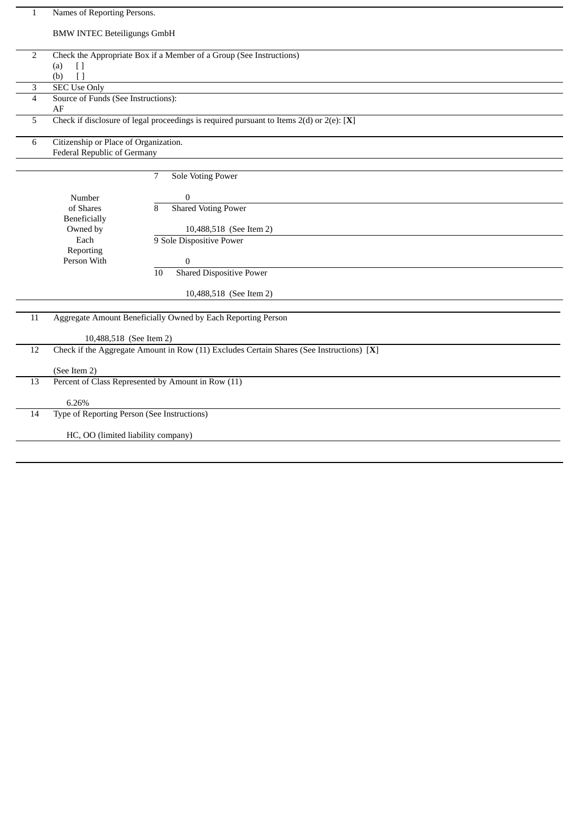| $\mathbf{1}$   | Names of Reporting Persons.                                         |                                                                                               |  |
|----------------|---------------------------------------------------------------------|-----------------------------------------------------------------------------------------------|--|
|                | <b>BMW INTEC Beteiligungs GmbH</b>                                  |                                                                                               |  |
| $\sqrt{2}$     | Check the Appropriate Box if a Member of a Group (See Instructions) |                                                                                               |  |
|                | (a)<br>$[ \ ]$                                                      |                                                                                               |  |
|                | $\lceil$<br>(b)                                                     |                                                                                               |  |
| 3              | <b>SEC Use Only</b>                                                 |                                                                                               |  |
| $\overline{4}$ | Source of Funds (See Instructions):                                 |                                                                                               |  |
| 5              | AF                                                                  | Check if disclosure of legal proceedings is required pursuant to Items $2(d)$ or $2(e)$ : [X] |  |
|                |                                                                     |                                                                                               |  |
| 6              | Citizenship or Place of Organization.                               |                                                                                               |  |
|                | Federal Republic of Germany                                         |                                                                                               |  |
|                |                                                                     | <b>Sole Voting Power</b><br>7                                                                 |  |
|                |                                                                     |                                                                                               |  |
|                | Number                                                              | $\boldsymbol{0}$                                                                              |  |
|                | of Shares                                                           | <b>Shared Voting Power</b><br>8                                                               |  |
|                | Beneficially                                                        |                                                                                               |  |
|                | Owned by                                                            | 10,488,518 (See Item 2)                                                                       |  |
|                | Each<br>Reporting                                                   | 9 Sole Dispositive Power                                                                      |  |
|                | Person With                                                         | $\boldsymbol{0}$                                                                              |  |
|                |                                                                     | <b>Shared Dispositive Power</b><br>10                                                         |  |
|                |                                                                     |                                                                                               |  |
|                |                                                                     | 10,488,518 (See Item 2)                                                                       |  |
| 11             |                                                                     | Aggregate Amount Beneficially Owned by Each Reporting Person                                  |  |
|                |                                                                     |                                                                                               |  |
|                | 10,488,518 (See Item 2)                                             |                                                                                               |  |
| 12             |                                                                     | Check if the Aggregate Amount in Row (11) Excludes Certain Shares (See Instructions) [X]      |  |
|                | (See Item 2)                                                        |                                                                                               |  |
| 13             |                                                                     | Percent of Class Represented by Amount in Row (11)                                            |  |
|                |                                                                     |                                                                                               |  |
|                | 6.26%                                                               |                                                                                               |  |
| 14             |                                                                     | Type of Reporting Person (See Instructions)                                                   |  |
|                | HC, OO (limited liability company)                                  |                                                                                               |  |
|                |                                                                     |                                                                                               |  |
|                |                                                                     |                                                                                               |  |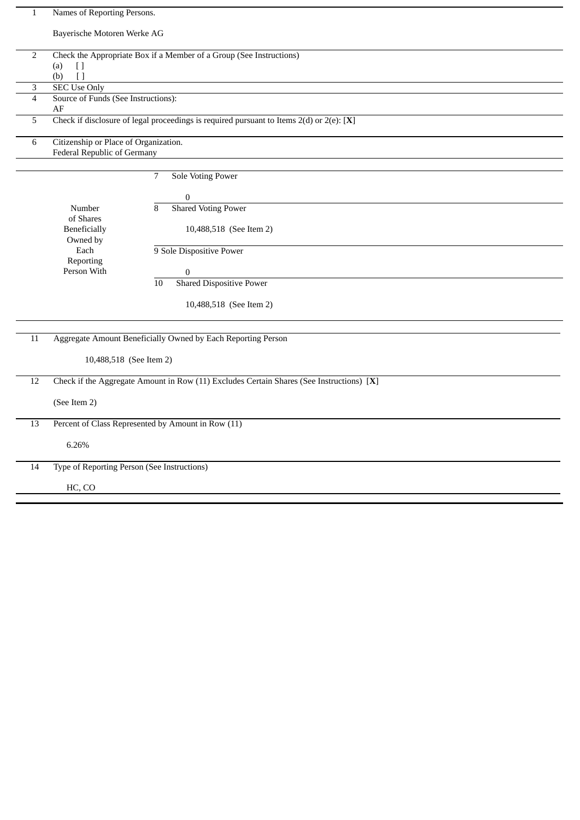| Bayerische Motoren Werke AG<br>$\sqrt{2}$<br>Check the Appropriate Box if a Member of a Group (See Instructions)<br>(a)<br>$\Box$<br>(b)<br>$\lceil$ |  |  |
|------------------------------------------------------------------------------------------------------------------------------------------------------|--|--|
|                                                                                                                                                      |  |  |
|                                                                                                                                                      |  |  |
|                                                                                                                                                      |  |  |
| <b>SEC Use Only</b><br>3                                                                                                                             |  |  |
| Source of Funds (See Instructions):<br>$\overline{\mathcal{L}}$                                                                                      |  |  |
| AF                                                                                                                                                   |  |  |
| Check if disclosure of legal proceedings is required pursuant to Items $2(d)$ or $2(e)$ : [X]<br>5                                                   |  |  |
| 6<br>Citizenship or Place of Organization.                                                                                                           |  |  |
| Federal Republic of Germany                                                                                                                          |  |  |
| $\overline{7}$<br>Sole Voting Power                                                                                                                  |  |  |
| $\boldsymbol{0}$                                                                                                                                     |  |  |
| <b>Shared Voting Power</b><br>Number<br>8                                                                                                            |  |  |
| of Shares                                                                                                                                            |  |  |
| <b>Beneficially</b><br>10,488,518 (See Item 2)<br>Owned by                                                                                           |  |  |
| Each<br>9 Sole Dispositive Power                                                                                                                     |  |  |
| Reporting<br>Person With<br>$\boldsymbol{0}$                                                                                                         |  |  |
| <b>Shared Dispositive Power</b><br>10                                                                                                                |  |  |
|                                                                                                                                                      |  |  |
| 10,488,518 (See Item 2)                                                                                                                              |  |  |
|                                                                                                                                                      |  |  |
| $\overline{11}$<br>Aggregate Amount Beneficially Owned by Each Reporting Person                                                                      |  |  |
| 10,488,518 (See Item 2)                                                                                                                              |  |  |
| Check if the Aggregate Amount in Row (11) Excludes Certain Shares (See Instructions) [X]<br>12                                                       |  |  |
| (See Item 2)                                                                                                                                         |  |  |
|                                                                                                                                                      |  |  |
| Percent of Class Represented by Amount in Row (11)<br>13                                                                                             |  |  |
| 6.26%                                                                                                                                                |  |  |
| $\overline{14}$<br>Type of Reporting Person (See Instructions)                                                                                       |  |  |
| HC, CO                                                                                                                                               |  |  |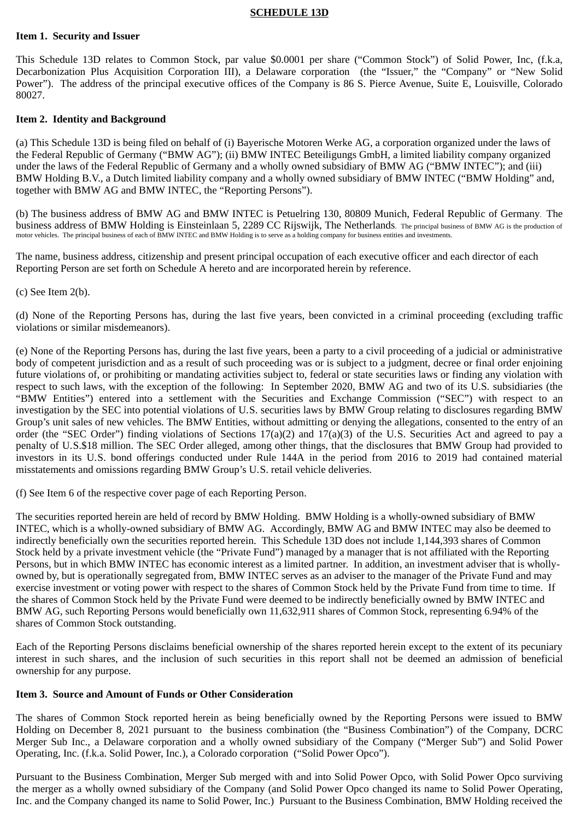#### **SCHEDULE 13D**

#### **Item 1. Security and Issuer**

This Schedule 13D relates to Common Stock, par value \$0.0001 per share ("Common Stock") of Solid Power, Inc, (f.k.a, Decarbonization Plus Acquisition Corporation III), a Delaware corporation (the "Issuer," the "Company" or "New Solid Power"). The address of the principal executive offices of the Company is 86 S. Pierce Avenue, Suite E, Louisville, Colorado 80027.

#### **Item 2. Identity and Background**

(a) This Schedule 13D is being filed on behalf of (i) Bayerische Motoren Werke AG, a corporation organized under the laws of the Federal Republic of Germany ("BMW AG"); (ii) BMW INTEC Beteiligungs GmbH, a limited liability company organized under the laws of the Federal Republic of Germany and a wholly owned subsidiary of BMW AG ("BMW INTEC"); and (iii) BMW Holding B.V., a Dutch limited liability company and a wholly owned subsidiary of BMW INTEC ("BMW Holding" and, together with BMW AG and BMW INTEC, the "Reporting Persons").

(b) The business address of BMW AG and BMW INTEC is Petuelring 130, 80809 Munich, Federal Republic of Germany. The business address of BMW Holding is Einsteinlaan 5, 2289 CC Rijswijk, The Netherlands. The principal business of BMW AG is the production of motor vehicles. The principal business of each of BMW INTEC and BMW Holding is to serve as a holding company for business entities and investments.

The name, business address, citizenship and present principal occupation of each executive officer and each director of each Reporting Person are set forth on Schedule A hereto and are incorporated herein by reference.

(c) See Item 2(b).

(d) None of the Reporting Persons has, during the last five years, been convicted in a criminal proceeding (excluding traffic violations or similar misdemeanors).

(e) None of the Reporting Persons has, during the last five years, been a party to a civil proceeding of a judicial or administrative body of competent jurisdiction and as a result of such proceeding was or is subject to a judgment, decree or final order enjoining future violations of, or prohibiting or mandating activities subject to, federal or state securities laws or finding any violation with respect to such laws, with the exception of the following: In September 2020, BMW AG and two of its U.S. subsidiaries (the "BMW Entities") entered into a settlement with the Securities and Exchange Commission ("SEC") with respect to an investigation by the SEC into potential violations of U. S. securities laws by BMW Group relating to disclosures regarding BMW Group's unit sales of new vehicles. The BMW Entities, without admitting or denying the allegations, consented to the entry of an order (the "SEC Order") finding violations of Sections  $17(a)(2)$  and  $17(a)(3)$  of the U.S. Securities Act and agreed to pay a penalty of U. S.\$18 million. The SEC Order alleged, among other things, that the disclosures that BMW Group had provided to investors in its U. S. bond offerings conducted under Rule 144A in the period from 2016 to 2019 had contained material misstatements and omissions regarding BMW Group's U. S. retail vehicle deliveries.

(f) See Item 6 of the respective cover page of each Reporting Person.

The securities reported herein are held of record by BMW Holding. BMW Holding is a wholly-owned subsidiary of BMW INTEC, which is a wholly-owned subsidiary of BMW AG. Accordingly, BMW AG and BMW INTEC may also be deemed to indirectly beneficially own the securities reported herein. This Schedule 13D does not include 1,144,393 shares of Common Stock held by a private investment vehicle (the "Private Fund") managed by a manager that is not affiliated with the Reporting Persons, but in which BMW INTEC has economic interest as a limited partner. In addition, an investment adviser that is whollyowned by, but is operationally segregated from, BMW INTEC serves as an adviser to the manager of the Private Fund and may exercise investment or voting power with respect to the shares of Common Stock held by the Private Fund from time to time. If the shares of Common Stock held by the Private Fund were deemed to be indirectly beneficially owned by BMW INTEC and BMW AG, such Reporting Persons would beneficially own 11,632,911 shares of Common Stock, representing 6.94% of the shares of Common Stock outstanding.

Each of the Reporting Persons disclaims beneficial ownership of the shares reported herein except to the extent of its pecuniary interest in such shares, and the inclusion of such securities in this report shall not be deemed an admission of beneficial ownership for any purpose.

## **Item 3. Source and Amount of Funds or Other Consideration**

The shares of Common Stock reported herein as being beneficially owned by the Reporting Persons were issued to BMW Holding on December 8, 2021 pursuant to the business combination (the "Business Combination") of the Company, DCRC Merger Sub Inc., a Delaware corporation and a wholly owned subsidiary of the Company ("Merger Sub") and Solid Power Operating, Inc. (f.k.a. Solid Power, Inc.), a Colorado corporation ("Solid Power Opco").

Pursuant to the Business Combination, Merger Sub merged with and into Solid Power Opco, with Solid Power Opco surviving the merger as a wholly owned subsidiary of the Company (and Solid Power Opco changed its name to Solid Power Operating, Inc. and the Company changed its name to Solid Power, Inc.) Pursuant to the Business Combination, BMW Holding received the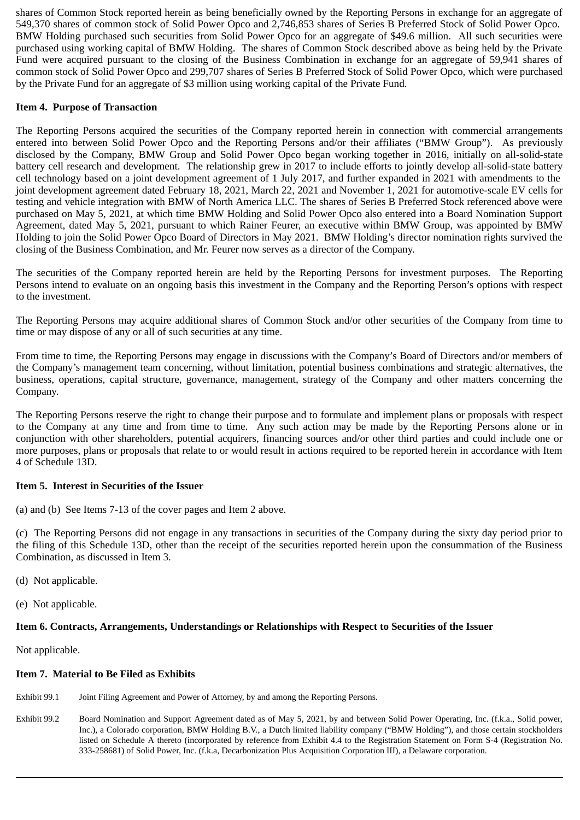shares of Common Stock reported herein as being beneficially owned by the Reporting Persons in exchange for an aggregate of 549,370 shares of common stock of Solid Power Opco and 2,746,853 shares of Series B Preferred Stock of Solid Power Opco. BMW Holding purchased such securities from Solid Power Opco for an aggregate of \$49.6 million. All such securities were purchased using working capital of BMW Holding. The shares of Common Stock described above as being held by the Private Fund were acquired pursuant to the closing of the Business Combination in exchange for an aggregate of 59,941 shares of common stock of Solid Power Opco and 299,707 shares of Series B Preferred Stock of Solid Power Opco, which were purchased by the Private Fund for an aggregate of \$3 million using working capital of the Private Fund.

## **Item 4. Purpose of Transaction**

The Reporting Persons acquired the securities of the Company reported herein in connection with commercial arrangements entered into between Solid Power Opco and the Reporting Persons and/or their affiliates ("BMW Group"). As previously disclosed by the Company, BMW Group and Solid Power Opco began working together in 2016, initially on all-solid-state battery cell research and development. The relationship grew in 2017 to include efforts to jointly develop all-solid-state battery cell technology based on a joint development agreement of 1 July 2017, and further expanded in 2021 with amendments to the joint development agreement dated February 18, 2021, March 22, 2021 and November 1, 2021 for automotive-scale EV cells for testing and vehicle integration with BMW of North America LLC. The shares of Series B Preferred Stock referenced above were purchased on May 5, 2021, at which time BMW Holding and Solid Power Opco also entered into a Board Nomination Support Agreement, dated May 5, 2021, pursuant to which Rainer Feurer, an executive within BMW Group, was appointed by BMW Holding to join the Solid Power Opco Board of Directors in May 2021. BMW Holding's director nomination rights survived the closing of the Business Combination, and Mr. Feurer now serves as a director of the Company.

The securities of the Company reported herein are held by the Reporting Persons for investment purposes. The Reporting Persons intend to evaluate on an ongoing basis this investment in the Company and the Reporting Person's options with respect to the investment.

The Reporting Persons may acquire additional shares of Common Stock and/or other securities of the Company from time to time or may dispose of any or all of such securities at any time.

From time to time, the Reporting Persons may engage in discussions with the Company's Board of Directors and/or members of the Company's management team concerning, without limitation, potential business combinations and strategic alternatives, the business, operations, capital structure, governance, management, strategy of the Company and other matters concerning the Company.

The Reporting Persons reserve the right to change their purpose and to formulate and implement plans or proposals with respect to the Company at any time and from time to time. Any such action may be made by the Reporting Persons alone or in conjunction with other shareholders, potential acquirers, financing sources and/or other third parties and could include one or more purposes, plans or proposals that relate to or would result in actions required to be reported herein in accordance with Item 4 of Schedule 13D.

## **Item 5. Interest in Securities of the Issuer**

(a) and (b) See Items 7-13 of the cover pages and Item 2 above.

(c) The Reporting Persons did not engage in any transactions in securities of the Company during the sixty day period prior to the filing of this Schedule 13D, other than the receipt of the securities reported herein upon the consummation of the Business Combination, as discussed in Item 3.

- (d) Not applicable.
- (e) Not applicable.

## **Item 6. Contracts, Arrangements, Understandings or Relationships with Respect to Securities of the Issuer**

Not applicable.

## **Item 7. Material to Be Filed as Exhibits**

- Exhibit 99.1 Joint Filing Agreement and Power of Attorney, by and among the Reporting Persons.
- Exhibit 99.2 Board Nomination and Support Agreement dated as of May 5, 2021, by and between Solid Power Operating, Inc. (f.k.a., Solid power, Inc.), a Colorado corporation, BMW Holding B.V., a Dutch limited liability company ("BMW Holding"), and those certain stockholders listed on Schedule A thereto (incorporated by reference from Exhibit 4.4 to the Registration Statement on Form S-4 (Registration No. 333-258681) of Solid Power, Inc. (f.k.a, Decarbonization Plus Acquisition Corporation III), a Delaware corporation.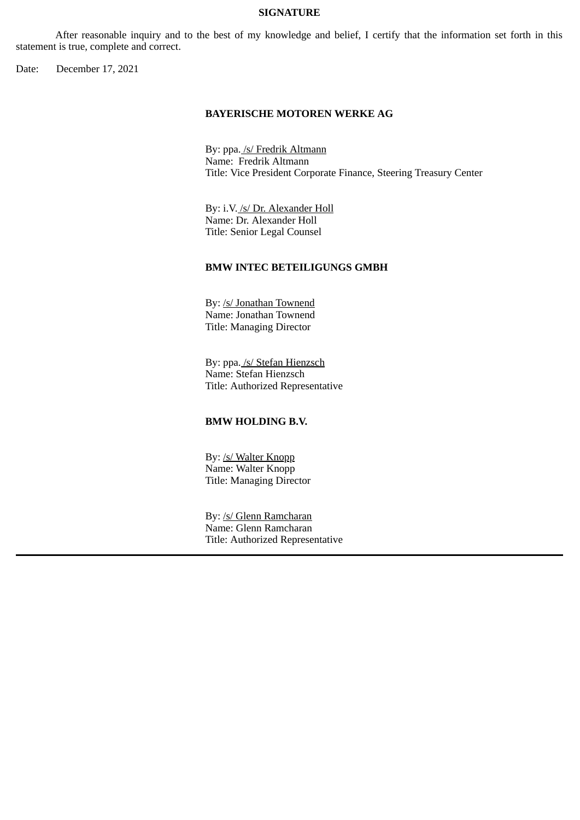#### **SIGNATURE**

After reasonable inquiry and to the best of my knowledge and belief, I certify that the information set forth in this statement is true, complete and correct.

Date: December 17, 2021

#### **BAYERISCHE MOTOREN WERKE AG**

By: ppa. /s/ Fredrik Altmann Name: Fredrik Altmann Title: Vice President Corporate Finance, Steering Treasury Center

By: i.V. /s/ Dr. Alexander Holl Name: Dr. Alexander Holl Title: Senior Legal Counsel

#### **BMW INTEC BETEILIGUNGS GMBH**

By: /s/ Jonathan Townend Name: Jonathan Townend Title: Managing Director

By: ppa. /s/ Stefan Hienzsch Name: Stefan Hienzsch Title: Authorized Representative

#### **BMW HOLDING B.V.**

By: /s/ Walter Knopp Name: Walter Knopp Title: Managing Director

By: /s/ Glenn Ramcharan Name: Glenn Ramcharan Title: Authorized Representative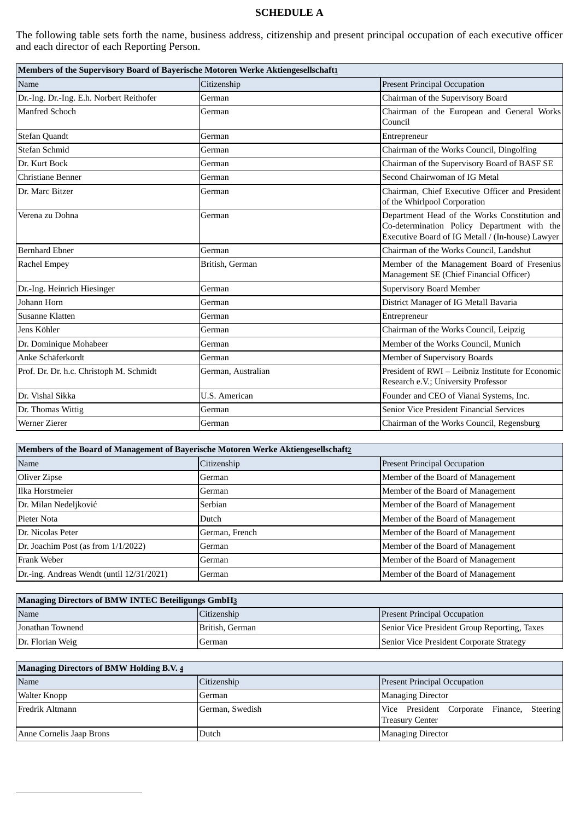# **SCHEDULE A**

The following table sets forth the name, business address, citizenship and present principal occupation of each executive officer and each director of each Reporting Person.

| Members of the Supervisory Board of Bayerische Motoren Werke Aktiengesellschaft1 |                    |                                                                                                                                                  |  |
|----------------------------------------------------------------------------------|--------------------|--------------------------------------------------------------------------------------------------------------------------------------------------|--|
| Name                                                                             | Citizenship        | <b>Present Principal Occupation</b>                                                                                                              |  |
| Dr.-Ing. Dr.-Ing. E.h. Norbert Reithofer                                         | German             | Chairman of the Supervisory Board                                                                                                                |  |
| <b>Manfred Schoch</b>                                                            | German             | Chairman of the European and General Works<br>Council                                                                                            |  |
| <b>Stefan Quandt</b>                                                             | German             | Entrepreneur                                                                                                                                     |  |
| Stefan Schmid                                                                    | German             | Chairman of the Works Council, Dingolfing                                                                                                        |  |
| Dr. Kurt Bock                                                                    | German             | Chairman of the Supervisory Board of BASF SE                                                                                                     |  |
| Christiane Benner                                                                | German             | Second Chairwoman of IG Metal                                                                                                                    |  |
| Dr. Marc Bitzer                                                                  | German             | Chairman, Chief Executive Officer and President<br>of the Whirlpool Corporation                                                                  |  |
| Verena zu Dohna                                                                  | German             | Department Head of the Works Constitution and<br>Co-determination Policy Department with the<br>Executive Board of IG Metall / (In-house) Lawyer |  |
| <b>Bernhard Ebner</b>                                                            | German             | Chairman of the Works Council, Landshut                                                                                                          |  |
| Rachel Empey                                                                     | British, German    | Member of the Management Board of Fresenius<br>Management SE (Chief Financial Officer)                                                           |  |
| Dr.-Ing. Heinrich Hiesinger                                                      | German             | <b>Supervisory Board Member</b>                                                                                                                  |  |
| Johann Horn                                                                      | German             | District Manager of IG Metall Bavaria                                                                                                            |  |
| Susanne Klatten                                                                  | German             | Entrepreneur                                                                                                                                     |  |
| Jens Köhler                                                                      | German             | Chairman of the Works Council, Leipzig                                                                                                           |  |
| Dr. Dominique Mohabeer                                                           | German             | Member of the Works Council, Munich                                                                                                              |  |
| Anke Schäferkordt                                                                | German             | Member of Supervisory Boards                                                                                                                     |  |
| Prof. Dr. Dr. h.c. Christoph M. Schmidt                                          | German, Australian | President of RWI - Leibniz Institute for Economic<br>Research e.V.; University Professor                                                         |  |
| Dr. Vishal Sikka                                                                 | U.S. American      | Founder and CEO of Vianai Systems, Inc.                                                                                                          |  |
| Dr. Thomas Wittig                                                                | German             | Senior Vice President Financial Services                                                                                                         |  |
| Werner Zierer                                                                    | German             | Chairman of the Works Council, Regensburg                                                                                                        |  |

| Members of the Board of Management of Bayerische Motoren Werke Aktiengesellschaft2 |                |                                     |  |
|------------------------------------------------------------------------------------|----------------|-------------------------------------|--|
| Name                                                                               | Citizenship    | <b>Present Principal Occupation</b> |  |
| Oliver Zipse                                                                       | German         | Member of the Board of Management   |  |
| Ilka Horstmeier                                                                    | German         | Member of the Board of Management   |  |
| Dr. Milan Nedeljković                                                              | Serbian        | Member of the Board of Management   |  |
| Pieter Nota                                                                        | Dutch          | Member of the Board of Management   |  |
| Dr. Nicolas Peter                                                                  | German, French | Member of the Board of Management   |  |
| Dr. Joachim Post (as from 1/1/2022)                                                | German         | Member of the Board of Management   |  |
| Frank Weber                                                                        | German         | Member of the Board of Management   |  |
| Dr.-ing. Andreas Wendt (until 12/31/2021)                                          | German         | Member of the Board of Management   |  |

| <b>Managing Directors of BMW INTEC Beteiligungs GmbH3</b> |                 |                                              |  |
|-----------------------------------------------------------|-----------------|----------------------------------------------|--|
| Name                                                      | Citizenship     | <b>Present Principal Occupation</b>          |  |
| Jonathan Townend                                          | British, German | Senior Vice President Group Reporting, Taxes |  |
| Dr. Florian Weig                                          | German          | Senior Vice President Corporate Strategy     |  |

| <b>Managing Directors of BMW Holding B.V. 4</b> |                 |                                                                      |  |
|-------------------------------------------------|-----------------|----------------------------------------------------------------------|--|
| Name                                            | Citizenship     | <b>Present Principal Occupation</b>                                  |  |
| Walter Knopp                                    | German          | <b>Managing Director</b>                                             |  |
| <b>IFredrik Altmann</b>                         | German, Swedish | Vice President Corporate Finance, Steering<br><b>Treasury Center</b> |  |
| Anne Cornelis Jaap Brons                        | Dutch           | <b>Managing Director</b>                                             |  |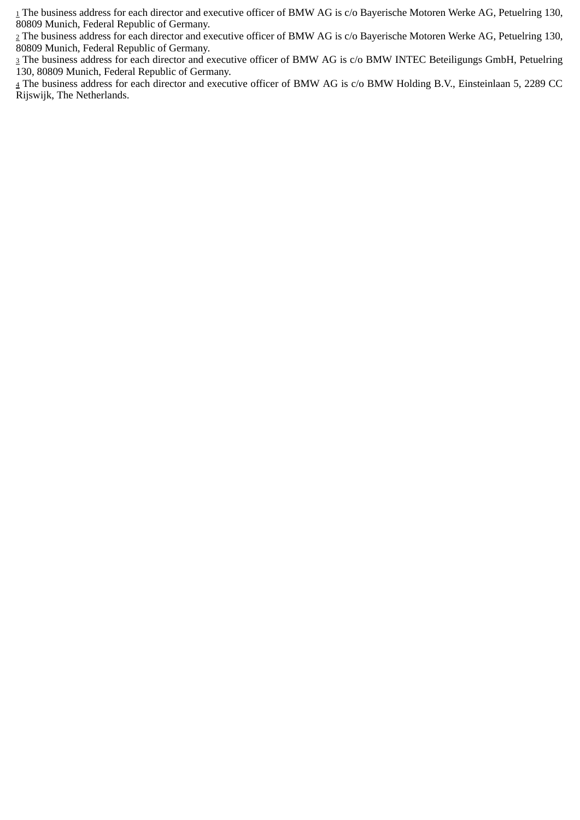<sup>1</sup> The business address for each director and executive officer of BMW AG is c/o Bayerische Motoren Werke AG, Petuelring 130, 80809 Munich, Federal Republic of Germany.

<sup>2</sup> The business address for each director and executive officer of BMW AG is c/o Bayerische Motoren Werke AG, Petuelring 130, 80809 Munich, Federal Republic of Germany.

3 The business address for each director and executive officer of BMW AG is c/o BMW INTEC Beteiligungs GmbH, Petuelring 130, 80809 Munich, Federal Republic of Germany.

<sup>4</sup> The business address for each director and executive officer of BMW AG is c/o BMW Holding B.V., Einsteinlaan 5, 2289 CC Rijswijk, The Netherlands.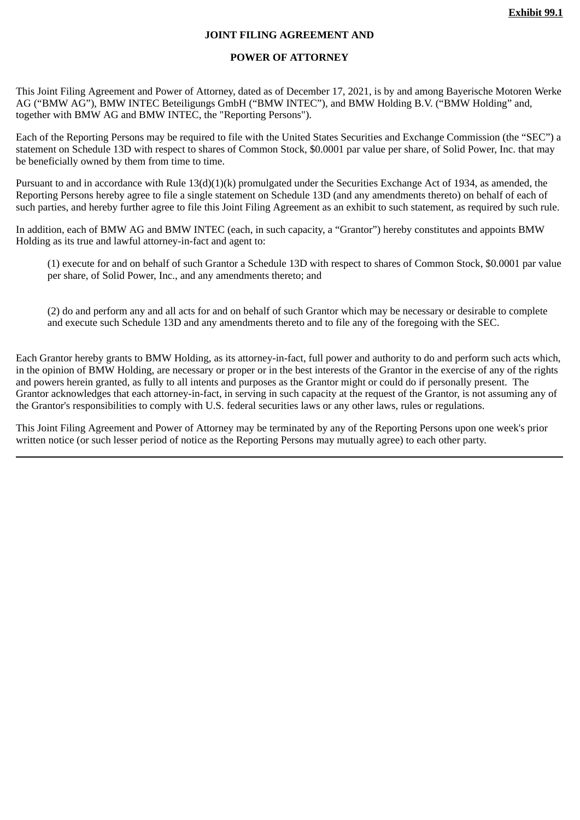#### **JOINT FILING AGREEMENT AND**

#### **POWER OF ATTORNEY**

This Joint Filing Agreement and Power of Attorney, dated as of December 17, 2021, is by and among Bayerische Motoren Werke AG ("BMW AG"), BMW INTEC Beteiligungs GmbH ("BMW INTEC"), and BMW Holding B.V. ("BMW Holding" and, together with BMW AG and BMW INTEC, the "Reporting Persons").

Each of the Reporting Persons may be required to file with the United States Securities and Exchange Commission (the "SEC") a statement on Schedule 13D with respect to shares of Common Stock, \$0.0001 par value per share, of Solid Power, Inc. that may be beneficially owned by them from time to time.

Pursuant to and in accordance with Rule 13(d)(1)(k) promulgated under the Securities Exchange Act of 1934, as amended, the Reporting Persons hereby agree to file a single statement on Schedule 13D (and any amendments thereto) on behalf of each of such parties, and hereby further agree to file this Joint Filing Agreement as an exhibit to such statement, as required by such rule.

In addition, each of BMW AG and BMW INTEC (each, in such capacity, a "Grantor") hereby constitutes and appoints BMW Holding as its true and lawful attorney-in-fact and agent to:

(1) execute for and on behalf of such Grantor a Schedule 13D with respect to shares of Common Stock, \$0.0001 par value per share, of Solid Power, Inc., and any amendments thereto; and

(2) do and perform any and all acts for and on behalf of such Grantor which may be necessary or desirable to complete and execute such Schedule 13D and any amendments thereto and to file any of the foregoing with the SEC.

Each Grantor hereby grants to BMW Holding, as its attorney-in-fact, full power and authority to do and perform such acts which, in the opinion of BMW Holding, are necessary or proper or in the best interests of the Grantor in the exercise of any of the rights and powers herein granted, as fully to all intents and purposes as the Grantor might or could do if personally present. The Grantor acknowledges that each attorney-in-fact, in serving in such capacity at the request of the Grantor, is not assuming any of the Grantor's responsibilities to comply with U.S. federal securities laws or any other laws, rules or regulations.

This Joint Filing Agreement and Power of Attorney may be terminated by any of the Reporting Persons upon one week's prior written notice (or such lesser period of notice as the Reporting Persons may mutually agree) to each other party.